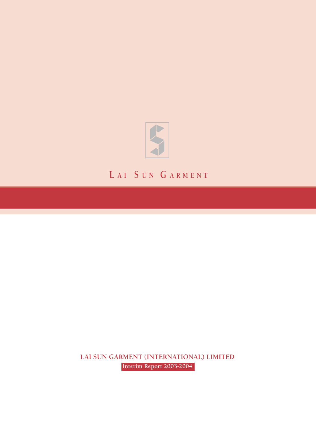

# **L A I S UN G ARMENT**

**LAI SUN GARMENT (INTERNATIONAL) LIMITED Interim Report 2003-2004**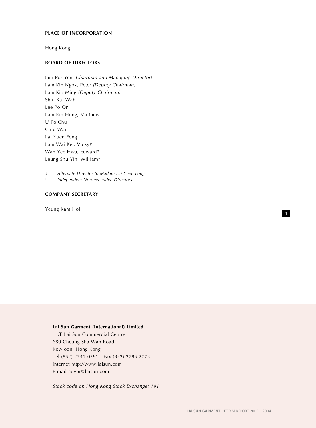#### **PLACE OF INCORPORATION**

Hong Kong

# **BOARD OF DIRECTORS**

Lim Por Yen (Chairman and Managing Director) Lam Kin Ngok, Peter (Deputy Chairman) Lam Kin Ming (Deputy Chairman) Shiu Kai Wah Lee Po On Lam Kin Hong, Matthew U Po Chu Chiu Wai Lai Yuen Fong Lam Wai Kei, Vicky# Wan Yee Hwa, Edward\* Leung Shu Yin, William\*

# Alternate Director to Madam Lai Yuen Fong

Independent Non-executive Directors

## **COMPANY SECRETARY**

Yeung Kam Hoi

#### **Lai Sun Garment (International) Limited**

11/F Lai Sun Commercial Centre 680 Cheung Sha Wan Road Kowloon, Hong Kong Tel (852) 2741 0391 Fax (852) 2785 2775 Internet http://www.laisun.com E-mail advpr@laisun.com

Stock code on Hong Kong Stock Exchange: 191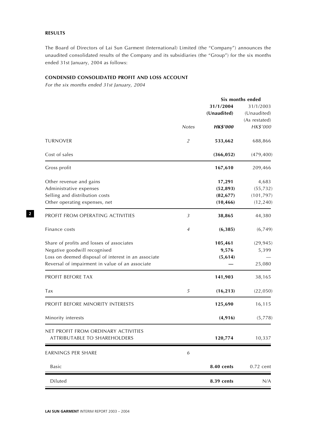## **RESULTS**

The Board of Directors of Lai Sun Garment (International) Limited (the "Company") announces the unaudited consolidated results of the Company and its subsidiaries (the "Group") for the six months ended 31st January, 2004 as follows:

## **CONDENSED CONSOLIDATED PROFIT AND LOSS ACCOUNT**

For the six months ended 31st January, 2004

|                                                     |                  |                 | Six months ended |
|-----------------------------------------------------|------------------|-----------------|------------------|
|                                                     |                  | 31/1/2004       | 31/1/2003        |
|                                                     |                  | (Unaudited)     | (Unaudited)      |
|                                                     |                  |                 | (As restated)    |
|                                                     | <b>Notes</b>     | <b>HK\$'000</b> | HK\$'000         |
| <b>TURNOVER</b>                                     | $\overline{2}$   | 533,662         | 688,866          |
| Cost of sales                                       |                  | (366, 052)      | (479, 400)       |
| Gross profit                                        |                  | 167,610         | 209,466          |
| Other revenue and gains                             |                  | 17,291          | 4,683            |
| Administrative expenses                             |                  | (52, 893)       | (55, 732)        |
| Selling and distribution costs                      |                  | (82, 677)       | (101, 797)       |
| Other operating expenses, net                       |                  | (10, 466)       | (12, 240)        |
| PROFIT FROM OPERATING ACTIVITIES                    | $\mathfrak{Z}$   | 38,865          | 44,380           |
| Finance costs                                       | 4                | (6, 385)        | (6,749)          |
| Share of profits and losses of associates           |                  | 105,461         | (29, 945)        |
| Negative goodwill recognised                        |                  | 9,576           | 5,399            |
| Loss on deemed disposal of interest in an associate |                  | (5, 614)        |                  |
| Reversal of impairment in value of an associate     |                  |                 | 25,080           |
| PROFIT BEFORE TAX                                   |                  | 141,903         | 38,165           |
| Tax                                                 | 5                | (16, 213)       | (22, 050)        |
| PROFIT BEFORE MINORITY INTERESTS                    |                  | 125,690         | 16,115           |
| Minority interests                                  |                  | (4,916)         | (5,778)          |
| NET PROFIT FROM ORDINARY ACTIVITIES                 |                  |                 |                  |
| ATTRIBUTABLE TO SHAREHOLDERS                        |                  | 120,774         | 10,337           |
| EARNINGS PER SHARE                                  | $\boldsymbol{6}$ |                 |                  |
| Basic                                               |                  | 8.40 cents      | $0.72$ cent      |
| Diluted                                             |                  | 8.39 cents      | N/A              |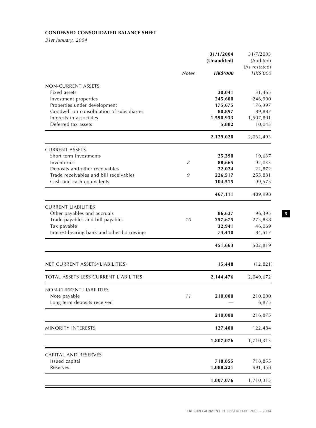# **CONDENSED CONSOLIDATED BALANCE SHEET**

31st January, 2004

| (Unaudited)<br><b>Notes</b><br><b>HK\$'000</b>            | (Audited)<br>(As restated)<br>HK\$'000 |
|-----------------------------------------------------------|----------------------------------------|
|                                                           |                                        |
|                                                           |                                        |
|                                                           |                                        |
| NON-CURRENT ASSETS                                        |                                        |
| Fixed assets<br>30,041                                    | 31,465                                 |
| Investment properties<br>245,600                          | 246,900                                |
| Properties under development<br>175,675                   | 176,397                                |
| Goodwill on consolidation of subsidiaries<br>80,897       | 89,887                                 |
| Interests in associates<br>1,590,933                      | 1,507,801                              |
| Deferred tax assets<br>5,882                              | 10,043                                 |
| 2,129,028                                                 | 2,062,493                              |
| <b>CURRENT ASSETS</b>                                     |                                        |
| Short term investments<br>25,390                          | 19,637                                 |
| Inventories<br>88,665<br>8                                | 92,033                                 |
| Deposits and other receivables<br>22,024                  | 22,872                                 |
| Trade receivables and bill receivables<br>9<br>226,517    | 255,881                                |
| Cash and cash equivalents<br>104,515                      | 99,575                                 |
| 467,111                                                   | 489,998                                |
| <b>CURRENT LIABILITIES</b>                                |                                        |
| Other payables and accruals<br>86,637                     | 96,395                                 |
| Trade payables and bill payables<br>10<br>257,675         | 275,838                                |
| Tax payable<br>32,941                                     | 46,069                                 |
| Interest-bearing bank and other borrowings<br>74,410      | 84,517                                 |
| 451,663                                                   | 502,819                                |
| NET CURRENT ASSETS/(LIABILITIES)<br>15,448                | (12, 821)                              |
|                                                           |                                        |
| <b>TOTAL ASSETS LESS CURRENT LIABILITIES</b><br>2,144,476 | 2,049,672                              |
| NON-CURRENT LIABILITIES                                   |                                        |
| Note payable<br>11<br>210,000                             | 210,000                                |
| Long term deposits received                               | 6,875                                  |
| 210,000                                                   | 216,875                                |
| MINORITY INTERESTS<br>127,400                             | 122,484                                |
| 1,807,076                                                 | 1,710,313                              |
| CAPITAL AND RESERVES                                      |                                        |
| Issued capital<br>718,855                                 | 718,855                                |
| Reserves<br>1,088,221                                     | 991,458                                |
| 1,807,076                                                 | 1,710,313                              |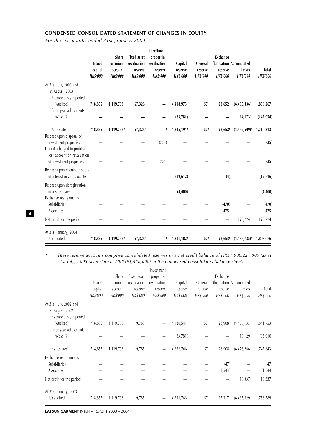## **CONDENSED CONSOLIDATED STATEMENT OF CHANGES IN EQUITY**

For the six months ended 31st January, 2004

|                                                                                                                    | <b>Issued</b><br>capital | <b>Share</b><br>premium<br>account | <b>Fixed asset</b><br>revaluation<br>reserve | Investment<br>properties<br>revaluation<br>reserve | Capital<br>reserve | General<br>reserve | <b>Exchange</b><br>reserve | fluctuation Accumulated<br>losses | <b>Total</b>    |
|--------------------------------------------------------------------------------------------------------------------|--------------------------|------------------------------------|----------------------------------------------|----------------------------------------------------|--------------------|--------------------|----------------------------|-----------------------------------|-----------------|
|                                                                                                                    | <b>HK\$'000</b>          | <b>HK\$'000</b>                    | <b>HK\$'000</b>                              | <b>HK\$'000</b>                                    | <b>HK\$'000</b>    | <b>HK\$'000</b>    | <b>HK\$'000</b>            | <b>HK\$'000</b>                   | <b>HK\$'000</b> |
| At 31st July, 2003 and<br>1st August, 2003<br>As previously reported                                               |                          |                                    |                                              |                                                    |                    |                    |                            |                                   |                 |
| (Audited)                                                                                                          | 718,855                  | 1,119,738                          | 67,326                                       |                                                    | 4,418,975          | 57                 | 28,652                     | (4,495,336)                       | 1,858,267       |
| Prior year adjustments<br>(Note 1)                                                                                 |                          |                                    |                                              |                                                    | (83,781)           |                    |                            | (64, 173)                         | (147, 954)      |
| As restated                                                                                                        | 718,855                  | 1,119,738*                         | $67,326*$                                    |                                                    | 4,335,194*         | $57*$              | 28,652*                    | $(4,559,509)^*$                   | 1,710,313       |
| Release upon disposal of<br>investment properties<br>Deficits charged to profit and<br>loss account on revaluation |                          |                                    |                                              | (735)                                              |                    |                    |                            |                                   | (735)           |
| of investment properties                                                                                           |                          |                                    |                                              | 735                                                |                    |                    |                            |                                   | 735             |
| Release upon deemed disposal<br>of interest in an associate                                                        |                          |                                    |                                              |                                                    | (19,612)           |                    | (4)                        |                                   | (19,616)        |
| Release upon deregistration<br>of a subsidiary                                                                     |                          |                                    |                                              |                                                    | (4, 400)           |                    |                            |                                   | (4, 400)        |
| Exchange realignments:<br>Subsidiaries                                                                             |                          |                                    |                                              |                                                    |                    |                    | (470)                      |                                   | (470)           |
| Associates                                                                                                         |                          |                                    |                                              |                                                    |                    |                    | 475                        |                                   | 475             |
| Net profit for the period                                                                                          |                          |                                    |                                              |                                                    |                    |                    |                            | 120,774                           | 120,774         |
| At 31st January, 2004<br>(Unaudited)                                                                               | 718,855                  | 1,119,738*                         | $67,326*$                                    |                                                    | 4,311,182*         | $57*$              | $28,653*$                  | $(4,438,735)^*$                   | 1,807,076       |

\* These reserve accounts comprise consolidated reserves in a net credit balance of HK\$1,088,221,000 (as at 31st July, 2003 (as restated): HK\$991,458,000) in the condensed consolidated balance sheet.

|                                                                      | <b>Issued</b><br>capital<br>HK\$'000 | Share<br>premium<br>account<br>HK\$'000 | Fixed asset<br>revaluation<br>reserve<br>HK\$'000 | Investment<br>properties<br>revaluation<br>reserve<br>HK\$'000 | Capital<br>reserve<br>HK\$'000 | General<br>reserve<br>HK\$'000 | Exchange<br>reserve<br>HK\$'000 | fluctuation Accumulated<br>losses<br>HK\$'000 | Total<br>HK\$'000 |
|----------------------------------------------------------------------|--------------------------------------|-----------------------------------------|---------------------------------------------------|----------------------------------------------------------------|--------------------------------|--------------------------------|---------------------------------|-----------------------------------------------|-------------------|
| At 31st July, 2002 and<br>1st August, 2002<br>As previously reported |                                      |                                         |                                                   |                                                                |                                |                                |                                 |                                               |                   |
| (Audited)                                                            | 718,855                              | 1,119,738                               | 19,785                                            |                                                                | 4,420,547                      | 57                             | 28,908                          | (4,466,137)                                   | 1,841,753         |
| Prior year adjustments<br>(Note 1)                                   |                                      |                                         |                                                   |                                                                | (83, 781)                      |                                |                                 | (10, 129)                                     | (93, 910)         |
| As restated                                                          | 718,855                              | 1,119,738                               | 19,785                                            |                                                                | 4,336,766                      | 57                             | 28,908                          | (4,476,266)                                   | 1,747,843         |
| Exchange realignments:                                               |                                      |                                         |                                                   |                                                                |                                |                                |                                 |                                               |                   |
| Subsidiaries                                                         |                                      |                                         |                                                   |                                                                |                                |                                | (47)                            |                                               | (47)              |
| Associates                                                           |                                      |                                         |                                                   |                                                                |                                |                                | (1, 544)                        |                                               | (1, 544)          |
| Net profit for the period                                            |                                      |                                         |                                                   |                                                                |                                |                                |                                 | 10,337                                        | 10,337            |
| At 31st January, 2003<br>(Unaudited)                                 | 718,855                              | 1,119,738                               | 19,785                                            |                                                                | 4,336,766                      | 57                             | 27,317                          | (4,465,929)                                   | 1,756,589         |

**LAI SUN GARMENT** INTERIM REPORT 2003 – 2004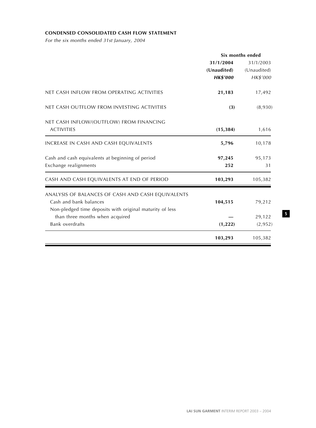# **CONDENSED CONSOLIDATED CASH FLOW STATEMENT**

For the six months ended 31st January, 2004

|                                                          | Six months ended |             |
|----------------------------------------------------------|------------------|-------------|
|                                                          | 31/1/2004        | 31/1/2003   |
|                                                          | (Unaudited)      | (Unaudited) |
|                                                          | <b>HK\$'000</b>  | HK\$'000    |
| NET CASH INFLOW FROM OPERATING ACTIVITIES                | 21,183           | 17,492      |
| NET CASH OUTFLOW FROM INVESTING ACTIVITIES               | (3)              | (8,930)     |
| NET CASH INFLOW/(OUTFLOW) FROM FINANCING                 |                  |             |
| <b>ACTIVITIES</b>                                        | (15, 384)        | 1,616       |
| INCREASE IN CASH AND CASH EQUIVALENTS                    | 5,796            | 10,178      |
| Cash and cash equivalents at beginning of period         | 97,245           | 95,173      |
| Exchange realignments                                    | 252              | 31          |
| CASH AND CASH EQUIVALENTS AT END OF PERIOD               | 103,293          | 105,382     |
| ANALYSIS OF BALANCES OF CASH AND CASH EQUIVALENTS        |                  |             |
| Cash and bank balances                                   | 104,515          | 79,212      |
| Non-pledged time deposits with original maturity of less |                  |             |
| than three months when acquired                          |                  | 29,122      |
| <b>Bank overdrafts</b>                                   | (1, 222)         | (2,952)     |
|                                                          | 103,293          | 105,382     |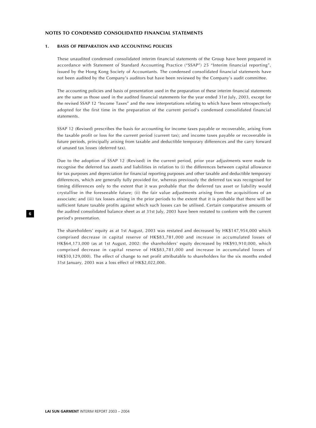#### **NOTES TO CONDENSED CONSOLIDATED FINANCIAL STATEMENTS**

#### **1. BASIS OF PREPARATION AND ACCOUNTING POLICIES**

These unaudited condensed consolidated interim financial statements of the Group have been prepared in accordance with Statement of Standard Accounting Practice ("SSAP") 25 "Interim financial reporting", issued by the Hong Kong Society of Accountants. The condensed consolidated financial statements have not been audited by the Company's auditors but have been reviewed by the Company's audit committee.

The accounting policies and basis of presentation used in the preparation of these interim financial statements are the same as those used in the audited financial statements for the year ended 31st July, 2003, except for the revised SSAP 12 "Income Taxes" and the new interpretations relating to which have been retrospectively adopted for the first time in the preparation of the current period's condensed consolidated financial statements.

SSAP 12 (Revised) prescribes the basis for accounting for income taxes payable or recoverable, arising from the taxable profit or loss for the current period (current tax); and income taxes payable or recoverable in future periods, principally arising from taxable and deductible temporary differences and the carry forward of unused tax losses (deferred tax).

Due to the adoption of SSAP 12 (Revised) in the current period, prior year adjustments were made to recognise the deferred tax assets and liabilities in relation to (i) the differences between capital allowance for tax purposes and depreciation for financial reporting purposes and other taxable and deductible temporary differences, which are generally fully provided for, whereas previously the deferred tax was recognised for timing differences only to the extent that it was probable that the deferred tax asset or liability would crystallise in the foreseeable future; (ii) the fair value adjustments arising from the acquisitions of an associate; and (iii) tax losses arising in the prior periods to the extent that it is probable that there will be sufficient future taxable profits against which such losses can be utilised. Certain comparative amounts of the audited consolidated balance sheet as at 31st July, 2003 have been restated to conform with the current period's presentation.

The shareholders' equity as at 1st August, 2003 was restated and decreased by HK\$147,954,000 which comprised decrease in capital reserve of HK\$83,781,000 and increase in accumulated losses of HK\$64,173,000 (as at 1st August, 2002: the shareholders' equity decreased by HK\$93,910,000, which comprised decrease in capital reserve of HK\$83,781,000 and increase in accumulated losses of HK\$10,129,000). The effect of change to net profit attributable to shareholders for the six months ended 31st January, 2003 was a loss effect of HK\$2,022,000.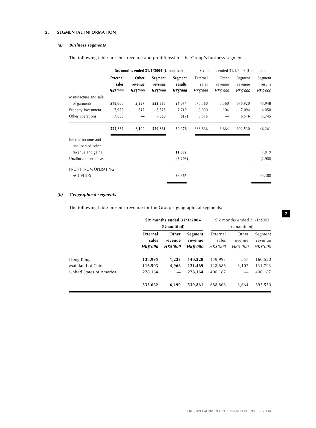# **2. SEGMENTAL INFORMATION**

## **(a) Business segments**

The following table presents revenue and profit/(loss) for the Group's business segments:

| Segment             |
|---------------------|
| results<br>HK\$'000 |
| 45,948              |
| 4,058<br>(3,745)    |
| 46,261              |
|                     |
| 1,019               |
| (2,900)             |
|                     |
| 44,380              |
|                     |

## **(b) Geographical segments**

The following table presents revenue for the Group's geographical segments:

|                                                            | Six months ended $31/1/2004$<br>(Unaudited) |                                     |                                       |                               | Six months ended 31/1/2003<br>(Unaudited) |                                |
|------------------------------------------------------------|---------------------------------------------|-------------------------------------|---------------------------------------|-------------------------------|-------------------------------------------|--------------------------------|
|                                                            | External<br>sales<br><b>HK\$'000</b>        | Other<br>revenue<br><b>HK\$'000</b> | Segment<br>revenue<br><b>HK\$'000</b> | External<br>sales<br>HK\$'000 | Other<br>revenue<br>HK\$'000              | Segment<br>revenue<br>HK\$'000 |
| Hong Kong<br>Mainland of China<br>United States of America | 138,995<br>116,503<br>278,164               | 1,233<br>4,966                      | 140,228<br>121,469<br>278,164         | 159,993<br>128,686<br>400,187 | 557<br>3.107                              | 160,550<br>131,793<br>400,187  |
|                                                            | 533,662                                     | 6,199                               | 539,861                               | 688,866                       | 3,664                                     | 692,530                        |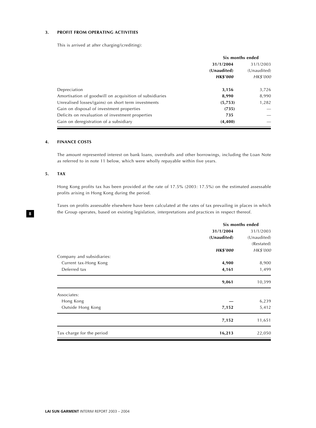## **3. PROFIT FROM OPERATING ACTIVITIES**

This is arrived at after charging/(crediting):

|                                                         | Six months ended |                          |  |
|---------------------------------------------------------|------------------|--------------------------|--|
|                                                         | 31/1/2004        | 31/1/2003<br>(Unaudited) |  |
|                                                         | (Unaudited)      |                          |  |
|                                                         | <b>HK\$'000</b>  | HK\$'000                 |  |
| Depreciation                                            | 3,156            | 3,726                    |  |
| Amortisation of goodwill on acquisition of subsidiaries | 8,990            | 8,990                    |  |
| Unrealised losses/(gains) on short term investments     | (5,753)          | 1,282                    |  |
| Gain on disposal of investment properties               | (735)            |                          |  |
| Deficits on revaluation of investment properties        | 735              |                          |  |
| Gain on deregistration of a subsidiary                  | (4,400)          |                          |  |

## **4. FINANCE COSTS**

The amount represented interest on bank loans, overdrafts and other borrowings, including the Loan Note as referred to in note 11 below, which were wholly repayable within five years.

#### **5. TAX**

Hong Kong profits tax has been provided at the rate of 17.5% (2003: 17.5%) on the estimated assessable profits arising in Hong Kong during the period.

Taxes on profits assessable elsewhere have been calculated at the rates of tax prevailing in places in which the Group operates, based on existing legislation, interpretations and practices in respect thereof.

|                           | Six months ended |             |  |
|---------------------------|------------------|-------------|--|
|                           | 31/1/2004        | 31/1/2003   |  |
|                           | (Unaudited)      | (Unaudited) |  |
|                           |                  | (Restated)  |  |
|                           | <b>HK\$'000</b>  | HK\$'000    |  |
| Company and subsidiaries: |                  |             |  |
| Current tax-Hong Kong     | 4,900            | 8,900       |  |
| Deferred tax              | 4,161            | 1,499       |  |
|                           | 9,061            | 10,399      |  |
| Associates:               |                  |             |  |
| Hong Kong                 |                  | 6,239       |  |
| Outside Hong Kong         | 7,152            | 5,412       |  |
|                           | 7,152            | 11,651      |  |
| Tax charge for the period | 16,213           | 22,050      |  |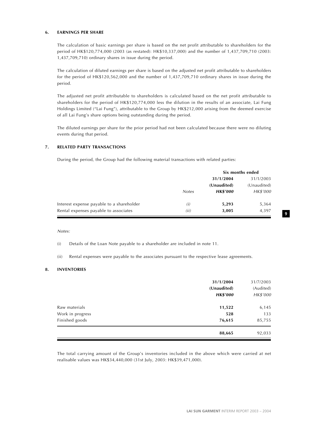#### **6. EARNINGS PER SHARE**

The calculation of basic earnings per share is based on the net profit attributable to shareholders for the period of HK\$120,774,000 (2003 (as restated): HK\$10,337,000) and the number of 1,437,709,710 (2003: 1,437,709,710) ordinary shares in issue during the period.

The calculation of diluted earnings per share is based on the adjusted net profit attributable to shareholders for the period of HK\$120,562,000 and the number of 1,437,709,710 ordinary shares in issue during the period.

The adjusted net profit attributable to shareholders is calculated based on the net profit attributable to shareholders for the period of HK\$120,774,000 less the dilution in the results of an associate, Lai Fung Holdings Limited ("Lai Fung"), attributable to the Group by HK\$212,000 arising from the deemed exercise of all Lai Fung's share options being outstanding during the period.

The diluted earnings per share for the prior period had not been calculated because there were no diluting events during that period.

#### **7. RELATED PARTY TRANSACTIONS**

During the period, the Group had the following material transactions with related parties:

|                                           |              | Six months ended |             |  |
|-------------------------------------------|--------------|------------------|-------------|--|
|                                           |              | 31/1/2004        | 31/1/2003   |  |
|                                           |              | (Unaudited)      | (Unaudited) |  |
|                                           | <b>Notes</b> | <b>HK\$'000</b>  | HK\$'000    |  |
| Interest expense payable to a shareholder | (i)          | 5,293            | 5,364       |  |
| Rental expenses payable to associates     | (ii)         | 3,005            | 4,397       |  |

#### Notes:

(i) Details of the Loan Note payable to a shareholder are included in note 11.

(ii) Rental expenses were payable to the associates pursuant to the respective lease agreements.

#### **8. INVENTORIES**

|                  | 31/1/2004<br>(Unaudited)<br><b>HK\$'000</b> | 31/7/2003<br>(Audited)<br>HK\$'000 |
|------------------|---------------------------------------------|------------------------------------|
| Raw materials    | 11,522                                      | 6,145                              |
| Work in progress | 528                                         | 133                                |
| Finished goods   | 76,615                                      | 85,755                             |
|                  | 88,665                                      | 92,033                             |

The total carrying amount of the Group's inventories included in the above which were carried at net realisable values was HK\$34,440,000 (31st July, 2003: HK\$39,471,000).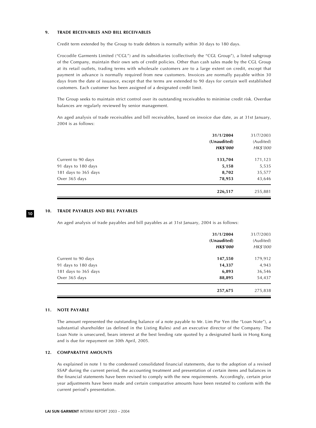#### **9. TRADE RECEIVABLES AND BILL RECEIVABLES**

Credit term extended by the Group to trade debtors is normally within 30 days to 180 days.

Crocodile Garments Limited ("CGL") and its subsidiaries (collectively the "CGL Group"), a listed subgroup of the Company, maintain their own sets of credit policies. Other than cash sales made by the CGL Group at its retail outlets, trading terms with wholesale customers are to a large extent on credit, except that payment in advance is normally required from new customers. Invoices are normally payable within 30 days from the date of issuance, except that the terms are extended to 90 days for certain well established customers. Each customer has been assigned of a designated credit limit.

The Group seeks to maintain strict control over its outstanding receivables to minimise credit risk. Overdue balances are regularly reviewed by senior management.

An aged analysis of trade receivables and bill receivables, based on invoice due date, as at 31st January, 2004 is as follows:

|                      | 31/1/2004       | 31/7/2003 |
|----------------------|-----------------|-----------|
|                      | (Unaudited)     | (Audited) |
|                      | <b>HK\$'000</b> | HK\$'000  |
| Current to 90 days   | 133,704         | 171,123   |
| 91 days to 180 days  | 5,158           | 5,535     |
| 181 days to 365 days | 8,702           | 35,577    |
| Over 365 days        | 78,953          | 43,646    |
|                      | 226,517         | 255,881   |

#### **10. TRADE PAYABLES AND BILL PAYABLES**

An aged analysis of trade payables and bill payables as at 31st January, 2004 is as follows:

| Current to 90 days   | (Unaudited)<br><b>HK\$'000</b><br>147,550 | (Audited)<br>HK\$'000<br>179,912 |
|----------------------|-------------------------------------------|----------------------------------|
| 91 days to 180 days  | 14,337                                    | 4,943                            |
| 181 days to 365 days | 6,893                                     | 36,546                           |
| Over 365 days        | 88,895                                    | 54,437                           |
|                      | 257,675                                   | 275,838                          |

## **11. NOTE PAYABLE**

**10**

The amount represented the outstanding balance of a note payable to Mr. Lim Por Yen (the "Loan Note"), a substantial shareholder (as defined in the Listing Rules) and an executive director of the Company. The Loan Note is unsecured, bears interest at the best lending rate quoted by a designated bank in Hong Kong and is due for repayment on 30th April, 2005.

## **12. COMPARATIVE AMOUNTS**

As explained in note 1 to the condensed consolidated financial statements, due to the adoption of a revised SSAP during the current period, the accounting treatment and presentation of certain items and balances in the financial statements have been revised to comply with the new requirements. Accordingly, certain prior year adjustments have been made and certain comparative amounts have been restated to conform with the current period's presentation.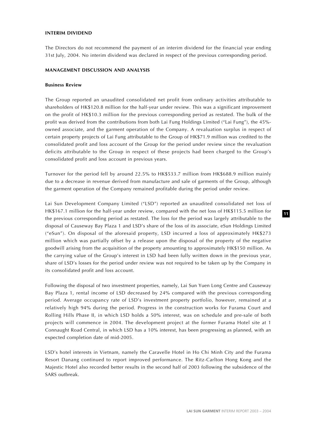#### **INTERIM DIVIDEND**

The Directors do not recommend the payment of an interim dividend for the financial year ending 31st July, 2004. No interim dividend was declared in respect of the previous corresponding period.

#### **MANAGEMENT DISCUSSION AND ANALYSIS**

#### **Business Review**

The Group reported an unaudited consolidated net profit from ordinary activities attributable to shareholders of HK\$120.8 million for the half-year under review. This was a significant improvement on the profit of HK\$10.3 million for the previous corresponding period as restated. The bulk of the profit was derived from the contributions from both Lai Fung Holdings Limited ("Lai Fung"), the 45% owned associate, and the garment operation of the Company. A revaluation surplus in respect of certain property projects of Lai Fung attributable to the Group of HK\$71.9 million was credited to the consolidated profit and loss account of the Group for the period under review since the revaluation deficits attributable to the Group in respect of these projects had been charged to the Group's consolidated profit and loss account in previous years.

Turnover for the period fell by around 22.5% to HK\$533.7 million from HK\$688.9 million mainly due to a decrease in revenue derived from manufacture and sale of garments of the Group, although the garment operation of the Company remained profitable during the period under review.

Lai Sun Development Company Limited ("LSD") reported an unaudited consolidated net loss of HK\$167.1 million for the half-year under review, compared with the net loss of HK\$115.5 million for the previous corresponding period as restated. The loss for the period was largely attributable to the disposal of Causeway Bay Plaza 1 and LSD's share of the loss of its associate, eSun Holdings Limited ("eSun"). On disposal of the aforesaid property, LSD incurred a loss of approximately HK\$273 million which was partially offset by a release upon the disposal of the property of the negative goodwill arising from the acquisition of the property amounting to approximately HK\$150 million. As the carrying value of the Group's interest in LSD had been fully written down in the previous year, share of LSD's losses for the period under review was not required to be taken up by the Company in its consolidated profit and loss account.

Following the disposal of two investment properties, namely, Lai Sun Yuen Long Centre and Causeway Bay Plaza 1, rental income of LSD decreased by 24% compared with the previous corresponding period. Average occupancy rate of LSD's investment property portfolio, however, remained at a relatively high 94% during the period. Progress in the construction works for Furama Court and Rolling Hills Phase II, in which LSD holds a 50% interest, was on schedule and pre-sale of both projects will commence in 2004. The development project at the former Furama Hotel site at 1 Connaught Road Central, in which LSD has a 10% interest, has been progressing as planned, with an expected completion date of mid-2005.

LSD's hotel interests in Vietnam, namely the Caravelle Hotel in Ho Chi Minh City and the Furama Resort Danang continued to report improved performance. The Ritz-Carlton Hong Kong and the Majestic Hotel also recorded better results in the second half of 2003 following the subsidence of the SARS outbreak.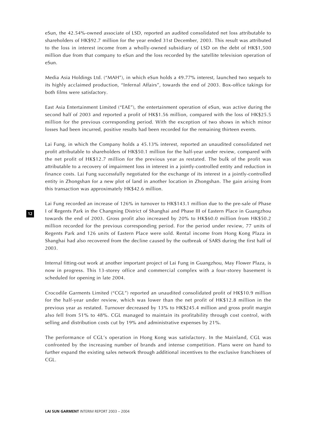eSun, the 42.54%-owned associate of LSD, reported an audited consolidated net loss attributable to shareholders of HK\$92.7 million for the year ended 31st December, 2003. This result was attributed to the loss in interest income from a wholly-owned subsidiary of LSD on the debt of HK\$1,500 million due from that company to eSun and the loss recorded by the satellite television operation of eSun.

Media Asia Holdings Ltd. ("MAH"), in which eSun holds a 49.77% interest, launched two sequels to its highly acclaimed production, "Infernal Affairs", towards the end of 2003. Box-office takings for both films were satisfactory.

East Asia Entertainment Limited ("EAE"), the entertainment operation of eSun, was active during the second half of 2003 and reported a profit of HK\$1.56 million, compared with the loss of HK\$25.5 million for the previous corresponding period. With the exception of two shows in which minor losses had been incurred, positive results had been recorded for the remaining thirteen events.

Lai Fung, in which the Company holds a 45.13% interest, reported an unaudited consolidated net profit attributable to shareholders of HK\$50.1 million for the half-year under review, compared with the net profit of HK\$12.7 million for the previous year as restated. The bulk of the profit was attributable to a recovery of impairment loss in interest in a jointly-controlled entity and reduction in finance costs. Lai Fung successfully negotiated for the exchange of its interest in a jointly-controlled entity in Zhongshan for a new plot of land in another location in Zhongshan. The gain arising from this transaction was approximately HK\$42.6 million.

Lai Fung recorded an increase of 126% in turnover to HK\$143.1 million due to the pre-sale of Phase I of Regents Park in the Changning District of Shanghai and Phase III of Eastern Place in Guangzhou towards the end of 2003. Gross profit also increased by 20% to HK\$60.0 million from HK\$50.2 million recorded for the previous corresponding period. For the period under review, 77 units of Regents Park and 126 units of Eastern Place were sold. Rental income from Hong Kong Plaza in Shanghai had also recovered from the decline caused by the outbreak of SARS during the first half of 2003.

Internal fitting-out work at another important project of Lai Fung in Guangzhou, May Flower Plaza, is now in progress. This 13-storey office and commercial complex with a four-storey basement is scheduled for opening in late 2004.

Crocodile Garments Limited ("CGL") reported an unaudited consolidated profit of HK\$10.9 million for the half-year under review, which was lower than the net profit of HK\$12.8 million in the previous year as restated. Turnover decreased by 13% to HK\$245.4 million and gross profit margin also fell from 51% to 48%. CGL managed to maintain its profitability through cost control, with selling and distribution costs cut by 19% and administrative expenses by 21%.

The performance of CGL's operation in Hong Kong was satisfactory. In the Mainland, CGL was confronted by the increasing number of brands and intense competition. Plans were on hand to further expand the existing sales network through additional incentives to the exclusive franchisees of CGL.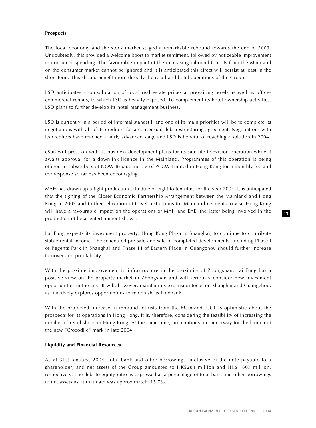## **Prospects**

The local economy and the stock market staged a remarkable rebound towards the end of 2003. Undoubtedly, this provided a welcome boost to market sentiment, followed by noticeable improvement in consumer spending. The favourable impact of the increasing inbound tourists from the Mainland on the consumer market cannot be ignored and it is anticipated this effect will persist at least in the short-term. This should benefit more directly the retail and hotel operations of the Group.

LSD anticipates a consolidation of local real estate prices at prevailing levels as well as officecommercial rentals, to which LSD is heavily exposed. To complement its hotel ownership activities, LSD plans to further develop its hotel management business.

LSD is currently in a period of informal standstill and one of its main priorities will be to complete its negotiations with all of its creditors for a consensual debt restructuring agreement. Negotiations with its creditors have reached a fairly advanced stage and LSD is hopeful of reaching a solution in 2004.

eSun will press on with its business development plans for its satellite television operation while it awaits approval for a downlink licence in the Mainland. Programmes of this operation is being offered to subscribers of NOW Broadband TV of PCCW Limited in Hong Kong for a monthly fee and the response so far has been encouraging.

MAH has drawn up a tight production schedule of eight to ten films for the year 2004. It is anticipated that the signing of the Closer Economic Partnership Arrangement between the Mainland and Hong Kong in 2003 and further relaxation of travel restrictions for Mainland residents to visit Hong Kong will have a favourable impact on the operations of MAH and EAE, the latter being involved in the production of local entertainment shows.

Lai Fung expects its investment property, Hong Kong Plaza in Shanghai, to continue to contribute stable rental income. The scheduled pre-sale and sale of completed developments, including Phase I of Regents Park in Shanghai and Phase III of Eastern Place in Guangzhou should further increase turnover and profitability.

With the possible improvement in infrastructure in the proximity of Zhongshan, Lai Fung has a positive view on the property market in Zhongshan and will seriously consider new investment opportunities in the city. It will, however, maintain its expansion focus on Shanghai and Guangzhou, as it actively explores opportunities to replenish its landbank.

With the projected increase in inbound tourists from the Mainland, CGL is optimistic about the prospects for its operations in Hong Kong. It is, therefore, considering the feasibility of increasing the number of retail shops in Hong Kong. At the same time, preparations are underway for the launch of the new "Crocodile" mark in late 2004.

## **Liquidity and Financial Resources**

As at 31st January, 2004, total bank and other borrowings, inclusive of the note payable to a shareholder, and net assets of the Group amounted to HK\$284 million and HK\$1,807 million, respectively. The debt to equity ratio as expressed as a percentage of total bank and other borrowings to net assets as at that date was approximately 15.7%.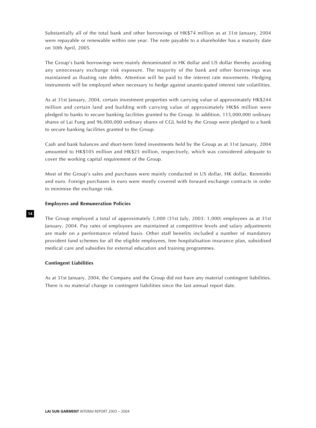Substantially all of the total bank and other borrowings of HK\$74 million as at 31st January, 2004 were repayable or renewable within one year. The note payable to a shareholder has a maturity date on 30th April, 2005.

The Group's bank borrowings were mainly denominated in HK dollar and US dollar thereby avoiding any unnecessary exchange risk exposure. The majority of the bank and other borrowings was maintained as floating rate debts. Attention will be paid to the interest rate movements. Hedging instruments will be employed when necessary to hedge against unanticipated interest rate volatilities.

As at 31st January, 2004, certain investment properties with carrying value of approximately HK\$244 million and certain land and building with carrying value of approximately HK\$6 million were pledged to banks to secure banking facilities granted to the Group. In addition, 115,000,000 ordinary shares of Lai Fung and 96,000,000 ordinary shares of CGL held by the Group were pledged to a bank to secure banking facilities granted to the Group.

Cash and bank balances and short-term listed investments held by the Group as at 31st January, 2004 amounted to HK\$105 million and HK\$25 million, respectively, which was considered adequate to cover the working capital requirement of the Group.

Most of the Group's sales and purchases were mainly conducted in US dollar, HK dollar, Renminbi and euro. Foreign purchases in euro were mostly covered with forward exchange contracts in order to minimise the exchange risk.

#### **Employees and Remuneration Policies**

The Group employed a total of approximately 1,000 (31st July, 2003: 1,000) employees as at 31st January, 2004. Pay rates of employees are maintained at competitive levels and salary adjustments are made on a performance related basis. Other staff benefits included a number of mandatory provident fund schemes for all the eligible employees, free hospitalisation insurance plan, subsidised medical care and subsidies for external education and training programmes.

## **Contingent Liabilities**

As at 31st January, 2004, the Company and the Group did not have any material contingent liabilities. There is no material change in contingent liabilities since the last annual report date.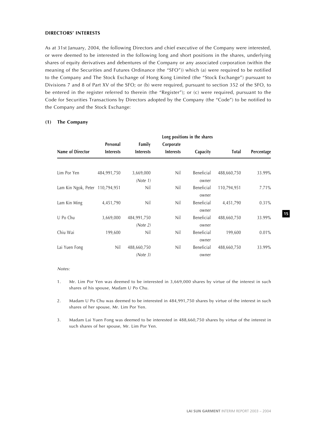#### **DIRECTORS' INTERESTS**

As at 31st January, 2004, the following Directors and chief executive of the Company were interested, or were deemed to be interested in the following long and short positions in the shares, underlying shares of equity derivatives and debentures of the Company or any associated corporation (within the meaning of the Securities and Futures Ordinance (the "SFO")) which (a) were required to be notified to the Company and The Stock Exchange of Hong Kong Limited (the "Stock Exchange") pursuant to Divisions 7 and 8 of Part XV of the SFO; or (b) were required, pursuant to section 352 of the SFO, to be entered in the register referred to therein (the "Register"); or (c) were required, pursuant to the Code for Securities Transactions by Directors adopted by the Company (the "Code") to be notified to the Company and the Stock Exchange:

|                                 | Long positions in the shares |                  |                  |            |              |            |
|---------------------------------|------------------------------|------------------|------------------|------------|--------------|------------|
|                                 | Personal                     | Family           | Corporate        |            |              |            |
| Name of Director                | <b>Interests</b>             | <b>Interests</b> | <b>Interests</b> | Capacity   | <b>Total</b> | Percentage |
| Lim Por Yen                     | 484,991,750                  | 3,669,000        | Nil              | Beneficial | 488,660,750  | 33.99%     |
|                                 |                              | (Note 1)         |                  | owner      |              |            |
| Lam Kin Ngok, Peter 110,794,951 |                              | Nil              | Nil              | Beneficial | 110,794,951  | 7.71%      |
|                                 |                              |                  |                  | owner      |              |            |
| Lam Kin Ming                    | 4,451,790                    | Nil              | Nil              | Beneficial | 4,451,790    | 0.31%      |
|                                 |                              |                  |                  | owner      |              |            |
| U Po Chu                        | 3,669,000                    | 484,991,750      | Nil              | Beneficial | 488,660,750  | 33.99%     |
|                                 |                              | (Note 2)         |                  | owner      |              |            |
| Chiu Wai                        | 199,600                      | Nil              | Nil              | Beneficial | 199,600      | 0.01%      |
|                                 |                              |                  |                  | owner      |              |            |
| Lai Yuen Fong                   | Nil                          | 488,660,750      | Nil              | Beneficial | 488,660,750  | 33.99%     |
|                                 |                              | (Note 3)         |                  | owner      |              |            |

## **(1) The Company**

#### Notes:

- 1. Mr. Lim Por Yen was deemed to be interested in 3,669,000 shares by virtue of the interest in such shares of his spouse, Madam U Po Chu.
- 2. Madam U Po Chu was deemed to be interested in 484,991,750 shares by virtue of the interest in such shares of her spouse, Mr. Lim Por Yen.
- 3. Madam Lai Yuen Fong was deemed to be interested in 488,660,750 shares by virtue of the interest in such shares of her spouse, Mr. Lim Por Yen.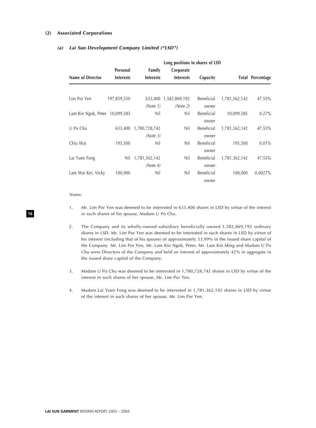#### **(2) Associated Corporations**

## **(a) Lai Sun Development Company Limited ("LSD")**

|                                | Long positions in shares of LSD |                  |                  |            |               |                         |  |
|--------------------------------|---------------------------------|------------------|------------------|------------|---------------|-------------------------|--|
|                                | Personal                        | Family           | Corporate        |            |               |                         |  |
| Name of Director               | <b>Interests</b>                | <b>Interests</b> | <b>Interests</b> | Capacity   |               | <b>Total Percentage</b> |  |
| Lim Por Yen                    | 197,859,550                     | 633,400          | 1,582,869,192    | Beneficial | 1,781,362,142 | 47.55%                  |  |
|                                |                                 | (Note 1)         | (Note 2)         | owner      |               |                         |  |
| Lam Kin Ngok, Peter 10,099,585 |                                 | Nil              | Nil              | Beneficial | 10,099,585    | 0.27%                   |  |
|                                |                                 |                  |                  | owner      |               |                         |  |
| U Po Chu                       | 633,400                         | 1,780,728,742    | Nil              | Beneficial | 1,781,362,142 | 47.55%                  |  |
|                                |                                 | (Note 3)         |                  | owner      |               |                         |  |
| Chiu Wai                       | 195,500                         | Nil              | Nil              | Beneficial | 195,500       | $0.01\%$                |  |
|                                |                                 |                  |                  | owner      |               |                         |  |
| Lai Yuen Fong                  | Nil                             | 1,781,362,142    | Nil              | Beneficial | 1,781,362,142 | 47.55%                  |  |
|                                |                                 | (Note 4)         |                  | owner      |               |                         |  |
| Lam Wai Kei, Vicky             | 100,000                         | Nil              | Nil              | Beneficial | 100,000       | 0.0027%                 |  |
|                                |                                 |                  |                  | owner      |               |                         |  |

Notes:

- 1. Mr. Lim Por Yen was deemed to be interested in 633,400 shares in LSD by virtue of the interest in such shares of his spouse, Madam U Po Chu.
- 2. The Company and its wholly-owned subsidiary beneficially owned 1,582,869,192 ordinary shares in LSD. Mr. Lim Por Yen was deemed to be interested in such shares in LSD by virtue of his interest (including that of his spouse) of approximately 33.99% in the issued share capital of the Company. Mr. Lim Por Yen, Mr. Lam Kin Ngok, Peter, Mr. Lam Kin Ming and Madam U Po Chu were Directors of the Company and held an interest of approximately 42% in aggregate in the issued share capital of the Company.
- 3. Madam U Po Chu was deemed to be interested in 1,780,728,742 shares in LSD by virtue of the interest in such shares of her spouse, Mr. Lim Por Yen.
- 4. Madam Lai Yuen Fong was deemed to be interested in 1,781,362,142 shares in LSD by virtue of the interest in such shares of her spouse, Mr. Lim Por Yen.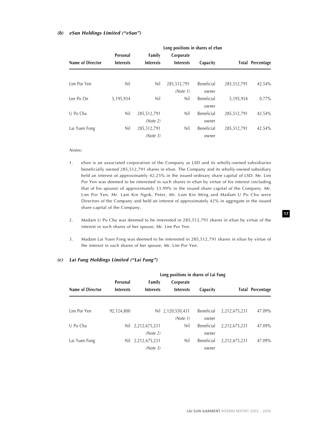#### **(b) eSun Holdings Limited ("eSun")**

|                  | Long positions in shares of eSun |                            |                               |                     |             |                  |  |
|------------------|----------------------------------|----------------------------|-------------------------------|---------------------|-------------|------------------|--|
| Name of Director | Personal<br><b>Interests</b>     | Family<br><b>Interests</b> | Corporate<br><b>Interests</b> | Capacity            |             | Total Percentage |  |
| Lim Por Yen      | Nil                              | Nil                        | 285,512,791<br>(Note 1)       | Beneficial<br>owner | 285,512,791 | 42.54%           |  |
| Lee Po On        | 5,195,934                        | Nil                        | Nil                           | Beneficial<br>owner | 5,195,934   | $0.77\%$         |  |
| U Po Chu         | Nil                              | 285,512,791<br>(Note 2)    | Nil                           | Beneficial<br>owner | 285,512,791 | 42.54%           |  |
| Lai Yuen Fong    | Nil                              | 285,512,791<br>(Note 3)    | Nil                           | Beneficial<br>owner | 285,512,791 | 42.54%           |  |

#### Notes:

- 1. eSun is an associated corporation of the Company as LSD and its wholly-owned subsidiaries beneficially owned 285,512,791 shares in eSun. The Company and its wholly-owned subsidiary held an interest of approximately 42.25% in the issued ordinary share capital of LSD. Mr. Lim Por Yen was deemed to be interested in such shares in eSun by virtue of his interest (including that of his spouse) of approximately 33.99% in the issued share capital of the Company. Mr. Lim Por Yen, Mr. Lam Kin Ngok, Peter, Mr. Lam Kin Ming and Madam U Po Chu were Directors of the Company and held an interest of approximately 42% in aggregate in the issued share capital of the Company.
- 2. Madam U Po Chu was deemed to be interested in 285,512,791 shares in eSun by virtue of the interest in such shares of her spouse, Mr. Lim Por Yen.
- 3. Madam Lai Yuen Fong was deemed to be interested in 285,512,791 shares in eSun by virtue of the interest in such shares of her spouse, Mr. Lim Por Yen.

#### **(c) Lai Fung Holdings Limited ("Lai Fung")**

| Name of Director | Long positions in shares of Lai Fung |                               |                               |                     |               |                         |  |
|------------------|--------------------------------------|-------------------------------|-------------------------------|---------------------|---------------|-------------------------|--|
|                  | Personal<br><b>Interests</b>         | Family<br><b>Interests</b>    | Corporate<br><b>Interests</b> | Capacity            |               | <b>Total Percentage</b> |  |
|                  |                                      |                               |                               |                     |               |                         |  |
| Lim Por Yen      | 92,124,800                           |                               | Nil 2,120,550,431<br>(Note 1) | Beneficial<br>owner | 2,212,675,231 | 47.09%                  |  |
| U Po Chu         |                                      | Nil 2,212,675,231<br>(Note 2) | Nil                           | Beneficial<br>owner | 2,212,675,231 | 47.09%                  |  |
| Lai Yuen Fong    |                                      | Nil 2,212,675,231<br>(Note 3) | Nil                           | Beneficial<br>owner | 2,212,675,231 | 47.09%                  |  |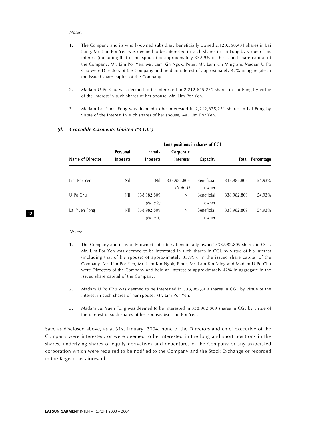#### Notes:

- 1. The Company and its wholly-owned subsidiary beneficially owned 2,120,550,431 shares in Lai Fung. Mr. Lim Por Yen was deemed to be interested in such shares in Lai Fung by virtue of his interest (including that of his spouse) of approximately 33.99% in the issued share capital of the Company. Mr. Lim Por Yen, Mr. Lam Kin Ngok, Peter, Mr. Lam Kin Ming and Madam U Po Chu were Directors of the Company and held an interest of approximately 42% in aggregate in the issued share capital of the Company.
- 2. Madam U Po Chu was deemed to be interested in 2,212,675,231 shares in Lai Fung by virtue of the interest in such shares of her spouse, Mr. Lim Por Yen.
- 3. Madam Lai Yuen Fong was deemed to be interested in 2,212,675,231 shares in Lai Fung by virtue of the interest in such shares of her spouse, Mr. Lim Por Yen.

|                  | Long positions in shares of CGL |                  |                  |            |             |                         |  |
|------------------|---------------------------------|------------------|------------------|------------|-------------|-------------------------|--|
|                  | Personal                        | Family           | Corporate        |            |             |                         |  |
| Name of Director | <b>Interests</b>                | <b>Interests</b> | <b>Interests</b> | Capacity   |             | <b>Total Percentage</b> |  |
|                  |                                 |                  |                  |            |             |                         |  |
| Lim Por Yen      | Nil                             | Nil              | 338,982,809      | Beneficial | 338,982,809 | 54.93%                  |  |
|                  |                                 |                  | (Note 1)         | owner      |             |                         |  |
| U Po Chu         | Nil                             | 338,982,809      | Nil              | Beneficial | 338,982,809 | 54.93%                  |  |
|                  |                                 | (Note 2)         |                  | owner      |             |                         |  |
| Lai Yuen Fong    | Nil                             | 338,982,809      | Nil              | Beneficial | 338,982,809 | 54.93%                  |  |
|                  |                                 | (Note 3)         |                  | owner      |             |                         |  |

#### **(d) Crocodile Garments Limited ("CGL")**

#### Notes:

**18**

- 1. The Company and its wholly-owned subsidiary beneficially owned 338,982,809 shares in CGL. Mr. Lim Por Yen was deemed to be interested in such shares in CGL by virtue of his interest (including that of his spouse) of approximately 33.99% in the issued share capital of the Company. Mr. Lim Por Yen, Mr. Lam Kin Ngok, Peter, Mr. Lam Kin Ming and Madam U Po Chu were Directors of the Company and held an interest of approximately 42% in aggregate in the issued share capital of the Company.
- 2. Madam U Po Chu was deemed to be interested in 338,982,809 shares in CGL by virtue of the interest in such shares of her spouse, Mr. Lim Por Yen.
- 3. Madam Lai Yuen Fong was deemed to be interested in 338,982,809 shares in CGL by virtue of the interest in such shares of her spouse, Mr. Lim Por Yen.

Save as disclosed above, as at 31st January, 2004, none of the Directors and chief executive of the Company were interested, or were deemed to be interested in the long and short positions in the shares, underlying shares of equity derivatives and debentures of the Company or any associated corporation which were required to be notified to the Company and the Stock Exchange or recorded in the Register as aforesaid.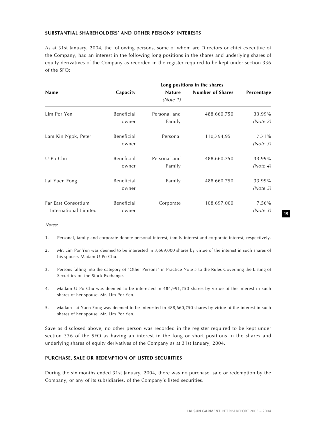## **SUBSTANTIAL SHAREHOLDERS' AND OTHER PERSONS' INTERESTS**

As at 31st January, 2004, the following persons, some of whom are Directors or chief executive of the Company, had an interest in the following long positions in the shares and underlying shares of equity derivatives of the Company as recorded in the register required to be kept under section 336 of the SFO:

| <b>Name</b>                                  | Capacity            | <b>Nature</b><br>(Note 1) | <b>Number of Shares</b> | Percentage           |
|----------------------------------------------|---------------------|---------------------------|-------------------------|----------------------|
| Lim Por Yen                                  | Beneficial<br>owner | Personal and<br>Family    | 488,660,750             | 33.99%<br>(Note 2)   |
| Lam Kin Ngok, Peter                          | Beneficial<br>owner | Personal                  | 110,794,951             | $7.71\%$<br>(Note 3) |
| U Po Chu                                     | Beneficial<br>owner | Personal and<br>Family    | 488,660,750             | 33.99%<br>(Note 4)   |
| Lai Yuen Fong                                | Beneficial<br>owner | Family                    | 488,660,750             | 33.99%<br>(Note 5)   |
| Far East Consortium<br>International Limited | Beneficial<br>owner | Corporate                 | 108,697,000             | 7.56%<br>(Note 3)    |

Notes:

- 1. Personal, family and corporate denote personal interest, family interest and corporate interest, respectively.
- 2. Mr. Lim Por Yen was deemed to be interested in 3,669,000 shares by virtue of the interest in such shares of his spouse, Madam U Po Chu.
- 3. Persons falling into the category of "Other Persons" in Practice Note 5 to the Rules Governing the Listing of Securities on the Stock Exchange.
- 4. Madam U Po Chu was deemed to be interested in 484,991,750 shares by virtue of the interest in such shares of her spouse, Mr. Lim Por Yen.
- 5. Madam Lai Yuen Fong was deemed to be interested in 488,660,750 shares by virtue of the interest in such shares of her spouse, Mr. Lim Por Yen.

Save as disclosed above, no other person was recorded in the register required to be kept under section 336 of the SFO as having an interest in the long or short positions in the shares and underlying shares of equity derivatives of the Company as at 31st January, 2004.

## **PURCHASE, SALE OR REDEMPTION OF LISTED SECURITIES**

During the six months ended 31st January, 2004, there was no purchase, sale or redemption by the Company, or any of its subsidiaries, of the Company's listed securities.